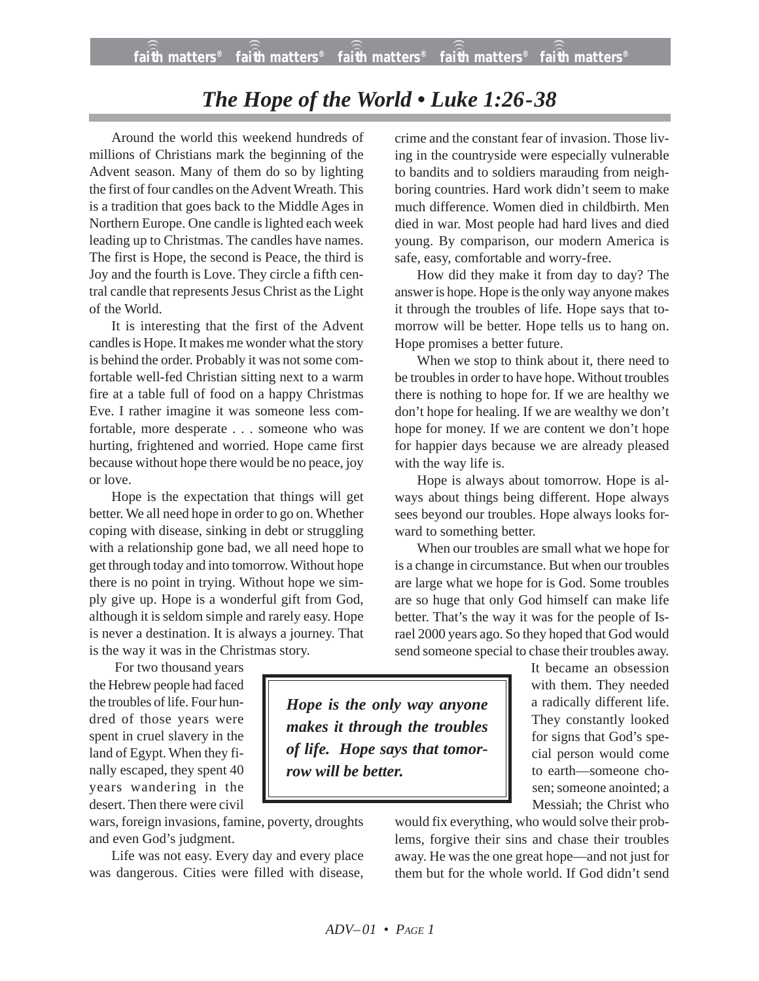## *The Hope of the World • Luke 1:26-38*

Around the world this weekend hundreds of millions of Christians mark the beginning of the Advent season. Many of them do so by lighting the first of four candles on the Advent Wreath. This is a tradition that goes back to the Middle Ages in Northern Europe. One candle is lighted each week leading up to Christmas. The candles have names. The first is Hope, the second is Peace*,* the third is Joy and the fourth is Love. They circle a fifth central candle that represents Jesus Christ as the Light of the World.

It is interesting that the first of the Advent candles is Hope. It makes me wonder what the story is behind the order. Probably it was not some comfortable well-fed Christian sitting next to a warm fire at a table full of food on a happy Christmas Eve. I rather imagine it was someone less comfortable, more desperate . . . someone who was hurting, frightened and worried. Hope came first because without hope there would be no peace, joy or love.

Hope is the expectation that things will get better. We all need hope in order to go on. Whether coping with disease, sinking in debt or struggling with a relationship gone bad, we all need hope to get through today and into tomorrow. Without hope there is no point in trying. Without hope we simply give up. Hope is a wonderful gift from God, although it is seldom simple and rarely easy. Hope is never a destination. It is always a journey. That is the way it was in the Christmas story.

For two thousand years the Hebrew people had faced the troubles of life. Four hundred of those years were spent in cruel slavery in the land of Egypt. When they finally escaped, they spent 40 years wandering in the desert. Then there were civil

wars, foreign invasions, famine, poverty, droughts and even God's judgment.

Life was not easy. Every day and every place was dangerous. Cities were filled with disease, crime and the constant fear of invasion. Those living in the countryside were especially vulnerable to bandits and to soldiers marauding from neighboring countries. Hard work didn't seem to make much difference. Women died in childbirth. Men died in war. Most people had hard lives and died young. By comparison, our modern America is safe, easy, comfortable and worry-free.

How did they make it from day to day? The answer is hope. Hope is the only way anyone makes it through the troubles of life. Hope says that tomorrow will be better. Hope tells us to hang on. Hope promises a better future.

When we stop to think about it, there need to be troubles in order to have hope. Without troubles there is nothing to hope for. If we are healthy we don't hope for healing. If we are wealthy we don't hope for money. If we are content we don't hope for happier days because we are already pleased with the way life is.

Hope is always about tomorrow. Hope is always about things being different. Hope always sees beyond our troubles. Hope always looks forward to something better.

When our troubles are small what we hope for is a change in circumstance. But when our troubles are large what we hope for is God. Some troubles are so huge that only God himself can make life better. That's the way it was for the people of Israel 2000 years ago. So they hoped that God would send someone special to chase their troubles away.

*Hope is the only way anyone makes it through the troubles of life. Hope says that tomorrow will be better.*

It became an obsession with them. They needed a radically different life. They constantly looked for signs that God's special person would come to earth—someone chosen; someone anointed; a Messiah; the Christ who

would fix everything, who would solve their problems, forgive their sins and chase their troubles away. He was the one great hope—and not just for them but for the whole world. If God didn't send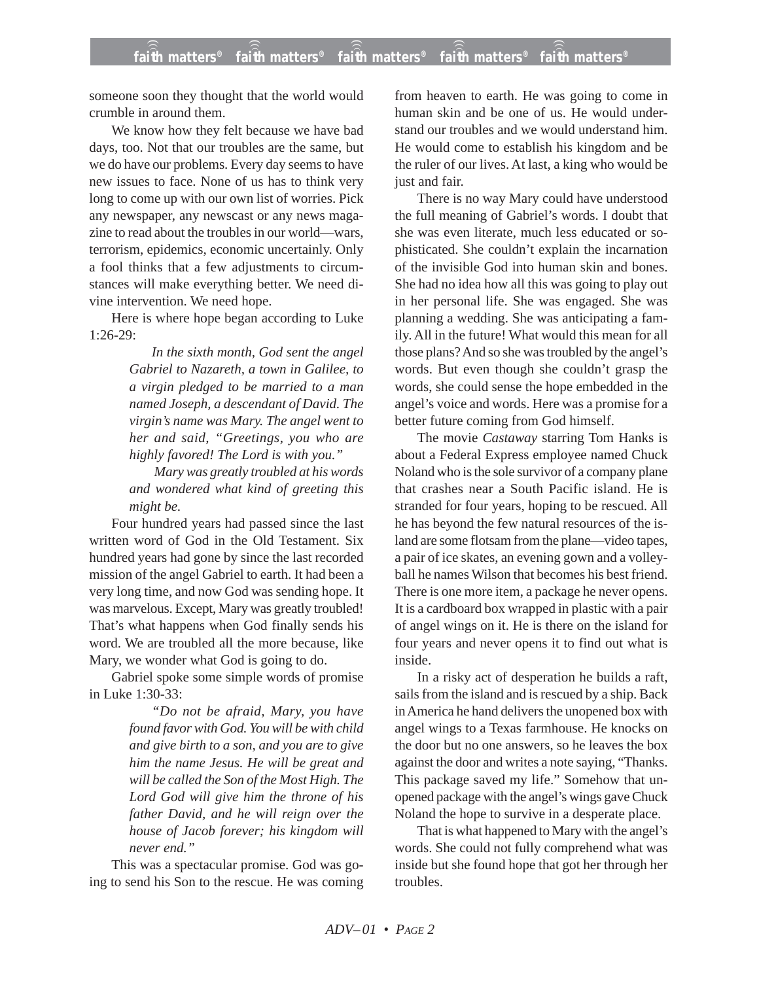someone soon they thought that the world would crumble in around them.

We know how they felt because we have bad days, too. Not that our troubles are the same, but we do have our problems. Every day seems to have new issues to face. None of us has to think very long to come up with our own list of worries. Pick any newspaper, any newscast or any news magazine to read about the troubles in our world—wars, terrorism, epidemics, economic uncertainly. Only a fool thinks that a few adjustments to circumstances will make everything better. We need divine intervention. We need hope.

Here is where hope began according to Luke 1:26-29:

> *In the sixth month, God sent the angel Gabriel to Nazareth, a town in Galilee, to a virgin pledged to be married to a man named Joseph, a descendant of David. The virgin's name was Mary. The angel went to her and said, "Greetings, you who are highly favored! The Lord is with you."*

> *Mary was greatly troubled at his words and wondered what kind of greeting this might be.*

Four hundred years had passed since the last written word of God in the Old Testament. Six hundred years had gone by since the last recorded mission of the angel Gabriel to earth. It had been a very long time, and now God was sending hope. It was marvelous. Except, Mary was greatly troubled! That's what happens when God finally sends his word. We are troubled all the more because, like Mary, we wonder what God is going to do.

Gabriel spoke some simple words of promise in Luke 1:30-33:

> *"Do not be afraid, Mary, you have found favor with God. You will be with child and give birth to a son, and you are to give him the name Jesus. He will be great and will be called the Son of the Most High. The Lord God will give him the throne of his father David, and he will reign over the house of Jacob forever; his kingdom will never end."*

This was a spectacular promise. God was going to send his Son to the rescue. He was coming from heaven to earth. He was going to come in human skin and be one of us. He would understand our troubles and we would understand him. He would come to establish his kingdom and be the ruler of our lives. At last, a king who would be just and fair.

There is no way Mary could have understood the full meaning of Gabriel's words. I doubt that she was even literate, much less educated or sophisticated. She couldn't explain the incarnation of the invisible God into human skin and bones. She had no idea how all this was going to play out in her personal life. She was engaged. She was planning a wedding. She was anticipating a family. All in the future! What would this mean for all those plans? And so she was troubled by the angel's words. But even though she couldn't grasp the words, she could sense the hope embedded in the angel's voice and words. Here was a promise for a better future coming from God himself.

The movie *Castaway* starring Tom Hanks is about a Federal Express employee named Chuck Noland who is the sole survivor of a company plane that crashes near a South Pacific island. He is stranded for four years, hoping to be rescued. All he has beyond the few natural resources of the island are some flotsam from the plane—video tapes, a pair of ice skates, an evening gown and a volleyball he names Wilson that becomes his best friend. There is one more item, a package he never opens. It is a cardboard box wrapped in plastic with a pair of angel wings on it. He is there on the island for four years and never opens it to find out what is inside.

In a risky act of desperation he builds a raft, sails from the island and is rescued by a ship. Back in America he hand delivers the unopened box with angel wings to a Texas farmhouse. He knocks on the door but no one answers, so he leaves the box against the door and writes a note saying, "Thanks. This package saved my life." Somehow that unopened package with the angel's wings gave Chuck Noland the hope to survive in a desperate place.

That is what happened to Mary with the angel's words. She could not fully comprehend what was inside but she found hope that got her through her troubles.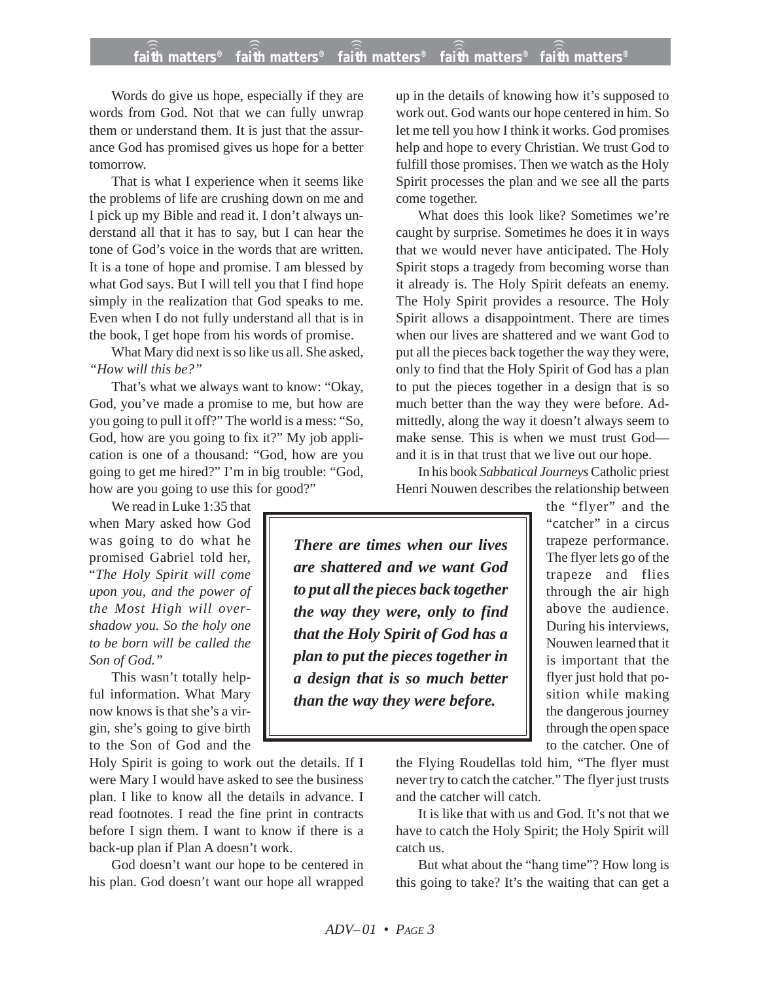## **faith matters® faith matters® faith matters® faith matters® faith matters®** ))) ))) ))) ))) )))

Words do give us hope, especially if they are words from God. Not that we can fully unwrap them or understand them. It is just that the assurance God has promised gives us hope for a better tomorrow.

That is what I experience when it seems like the problems of life are crushing down on me and I pick up my Bible and read it. I don't always understand all that it has to say, but I can hear the tone of God's voice in the words that are written. It is a tone of hope and promise. I am blessed by what God says. But I will tell you that I find hope simply in the realization that God speaks to me. Even when I do not fully understand all that is in the book, I get hope from his words of promise.

What Mary did next is so like us all. She asked, *"How will this be?"*

That's what we always want to know: "Okay, God, you've made a promise to me, but how are you going to pull it off?" The world is a mess: "So, God, how are you going to fix it?" My job application is one of a thousand: "God, how are you going to get me hired?" I'm in big trouble: "God, how are you going to use this for good?"

We read in Luke 1:35 that when Mary asked how God was going to do what he promised Gabriel told her, "*The Holy Spirit will come upon you, and the power of the Most High will overshadow you. So the holy one to be born will be called the Son of God."*

This wasn't totally helpful information. What Mary now knows is that she's a virgin, she's going to give birth to the Son of God and the

Holy Spirit is going to work out the details. If I were Mary I would have asked to see the business plan. I like to know all the details in advance. I read footnotes. I read the fine print in contracts before I sign them. I want to know if there is a back-up plan if Plan A doesn't work.

God doesn't want our hope to be centered in his plan. God doesn't want our hope all wrapped

up in the details of knowing how it's supposed to work out. God wants our hope centered in him. So let me tell you how I think it works. God promises help and hope to every Christian. We trust God to fulfill those promises. Then we watch as the Holy Spirit processes the plan and we see all the parts come together.

What does this look like? Sometimes we're caught by surprise. Sometimes he does it in ways that we would never have anticipated. The Holy Spirit stops a tragedy from becoming worse than it already is. The Holy Spirit defeats an enemy. The Holy Spirit provides a resource. The Holy Spirit allows a disappointment. There are times when our lives are shattered and we want God to put all the pieces back together the way they were, only to find that the Holy Spirit of God has a plan to put the pieces together in a design that is so much better than the way they were before. Admittedly, along the way it doesn't always seem to make sense. This is when we must trust God and it is in that trust that we live out our hope.

In his book *Sabbatical Journeys* Catholic priest Henri Nouwen describes the relationship between

*There are times when our lives are shattered and we want God to put all the pieces back together the way they were, only to find that the Holy Spirit of God has a plan to put the pieces together in a design that is so much better than the way they were before.*

the "flyer" and the "catcher" in a circus trapeze performance. The flyer lets go of the trapeze and flies through the air high above the audience. During his interviews, Nouwen learned that it is important that the flyer just hold that position while making the dangerous journey through the open space to the catcher. One of

the Flying Roudellas told him, "The flyer must never try to catch the catcher." The flyer just trusts and the catcher will catch.

It is like that with us and God. It's not that we have to catch the Holy Spirit; the Holy Spirit will catch us.

But what about the "hang time"? How long is this going to take? It's the waiting that can get a